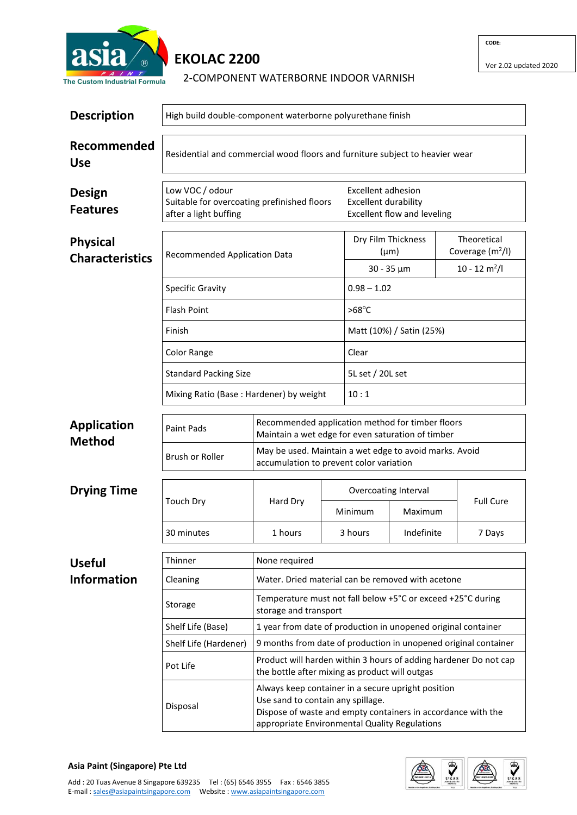

## **EKOLAC 2200**

| PAINT<br>he Custom Industrial Formula     | 2-COMPONENT WATERBORNE INDOOR VARNISH                                                   |                                                                                  |                                   |  |
|-------------------------------------------|-----------------------------------------------------------------------------------------|----------------------------------------------------------------------------------|-----------------------------------|--|
| <b>Description</b>                        | High build double-component waterborne polyurethane finish                              |                                                                                  |                                   |  |
| Recommended<br><b>Use</b>                 | Residential and commercial wood floors and furniture subject to heavier wear            |                                                                                  |                                   |  |
| Design<br><b>Features</b>                 | Low VOC / odour<br>Suitable for overcoating prefinished floors<br>after a light buffing | Excellent adhesion<br><b>Excellent durability</b><br>Excellent flow and leveling |                                   |  |
| <b>Physical</b><br><b>Characteristics</b> | Recommended Application Data                                                            | Dry Film Thickness<br>$(\mu m)$                                                  | Theoretical<br>Coverage $(m^2/l)$ |  |
|                                           |                                                                                         | $30 - 35 \mu m$                                                                  | $10 - 12$ m <sup>2</sup> /l       |  |
|                                           | <b>Specific Gravity</b>                                                                 | $0.98 - 1.02$                                                                    |                                   |  |
|                                           | <b>Flash Point</b>                                                                      | $>68^{\circ}$ C                                                                  |                                   |  |
|                                           | Finish                                                                                  | Matt (10%) / Satin (25%)                                                         |                                   |  |
|                                           | Color Range<br>Clear                                                                    |                                                                                  |                                   |  |
|                                           |                                                                                         |                                                                                  |                                   |  |

| Standard Packing Size                   | 5L set / 20L set |
|-----------------------------------------|------------------|
| Mixing Ratio (Base: Hardener) by weight | 10:1             |

| <b>Application</b><br>Method | Paint Pads      | Recommended application method for timber floors<br>Maintain a wet edge for even saturation of timber |
|------------------------------|-----------------|-------------------------------------------------------------------------------------------------------|
|                              | Brush or Roller | May be used. Maintain a wet edge to avoid marks. Avoid<br>accumulation to prevent color variation     |

| <b>Drying Time</b> | Touch Dry  | Hard Dry | Overcoating Interval |            |                  |
|--------------------|------------|----------|----------------------|------------|------------------|
|                    |            |          | Minimum              | Maximum    | <b>Full Cure</b> |
|                    | 30 minutes | 1 hours  | 3 hours              | Indefinite | 7 Days           |

| <b>Useful</b>      | Thinner               | None required                                                                                                                                                                                            |
|--------------------|-----------------------|----------------------------------------------------------------------------------------------------------------------------------------------------------------------------------------------------------|
| <b>Information</b> | Cleaning              | Water. Dried material can be removed with acetone                                                                                                                                                        |
|                    | Storage               | Temperature must not fall below +5°C or exceed +25°C during<br>storage and transport                                                                                                                     |
|                    | Shelf Life (Base)     | 1 year from date of production in unopened original container                                                                                                                                            |
|                    | Shelf Life (Hardener) | 9 months from date of production in unopened original container                                                                                                                                          |
|                    | Pot Life              | Product will harden within 3 hours of adding hardener Do not cap<br>the bottle after mixing as product will outgas                                                                                       |
|                    | Disposal              | Always keep container in a secure upright position<br>Use sand to contain any spillage.<br>Dispose of waste and empty containers in accordance with the<br>appropriate Environmental Quality Regulations |

## **Asia Paint (Singapore) Pte Ltd**